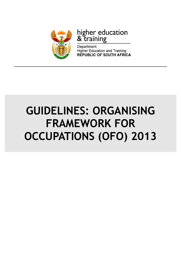

# higher education<br>& training

Department: **Higher Education and Training REPUBLIC OF SOUTH AFRICA** 

## GUIDELINES: ORGANISING FRAMEWORK FOR OCCUPATIONS (OFO) 2013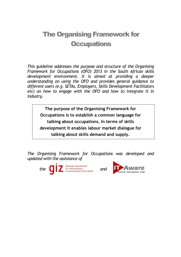## The Organising Framework for **Occupations**

This guideline addresses the purpose and structure of the Organising Framework for Occupations (OFO) 2013 in the South African skills development environment. It is aimed at providing a deeper understanding on using the OFO and provides general guidance to different users (e.g. SETAs, Employers, Skills Development Facilitators etc) on how to engage with the OFO and how to integrate it in industry.

The purpose of the Organising Framework for Occupations is to establish a common language for talking about occupations. In terms of skills development it enables labour market dialogue for talking about skills demand and supply.

The Organising Framework for Occupations was developed and updated with the assistance of



the  $\bigcirc$   $\bigcirc$   $\bigcirc$   $\bigcirc$   $\bigcirc$   $\bigcirc$   $\bigcirc$   $\bigcirc$  and  $\bigcirc$   $\bigcirc$   $\bigcirc$  and  $\bigcirc$   $\bigcirc$   $\bigcirc$   $\bigcirc$   $\bigcirc$  and  $\bigcirc$   $\bigcirc$  and  $\bigcirc$ 

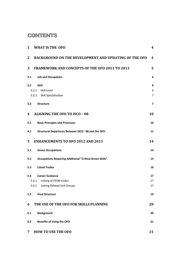## **CONTENTS**

| $\mathbf{1}$     | <b>WHAT IS THE OFO</b>                                          | 4                       |
|------------------|-----------------------------------------------------------------|-------------------------|
| $\mathbf{2}$     | <b>BACKGROUND ON THE DEVELOPMENT AND UPDATING OF THE OFO</b>    | 4                       |
| 3                | <b>FRAMEWORK AND CONCEPTS OF THE OFO 2011 TO 2013</b>           | 5                       |
| 3.1              | <b>Job and Occupation</b>                                       | 6                       |
| 3.2 <sub>2</sub> | <b>Skill</b>                                                    | 6                       |
|                  | Skill Level<br>3.2.1                                            | 6                       |
|                  | 3.2.2 Skill Specialisation                                      | 7                       |
| 3.3              | <b>Structure</b>                                                | $\overline{\mathbf{z}}$ |
| 4                | <b>ALIGNING THE OFO TO ISCO - 08</b>                            | 10                      |
| 4.1              | <b>Basic Principles and Processes</b>                           | 10                      |
| 4.2              | Structural Departures Between ISCO - 08 and the OFO             | 11                      |
| 5                | <b>ENHANCEMENTS TO OFO 2012 AND 2013</b>                        | 14                      |
| 5.1              | <b>Green Occupations</b>                                        | 14                      |
| 5.2              | <b>Occupations Requiring Additional "Critical Green Skills"</b> | 15                      |
| 5.3              | <b>Listed Trades</b>                                            | 16                      |
| 5.4              | <b>Career Guidance</b>                                          | 17                      |
|                  | 5.4.1<br>Linking of CESM Codes                                  | 17                      |
|                  | Linking Related Unit Groups<br>5.4.1                            | 17                      |
| 5.3              | <b>Final Structure</b>                                          | 19                      |
| 6                | THE USE OF THE OFO FOR SKILLS PLANNING                          | 20                      |
| 6.1              | <b>Background</b>                                               | 20                      |
| 6.2              | <b>Benefits of Using the OFO</b>                                | 21                      |
| 7                | <b>HOW TO USE THE OFO</b>                                       | 21                      |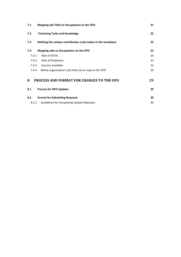| 7.1   | 21<br>Mapping Job Titles to Occupations to the OFO            |    |  |  |  |
|-------|---------------------------------------------------------------|----|--|--|--|
| 7.2   | <b>Clustering Tasks and Knowledge</b>                         | 22 |  |  |  |
| 7.3   | Defining the unique contribution a job makes in the workplace | 22 |  |  |  |
| 7.4   | Mapping Jobs to Occupations on the OFO                        | 23 |  |  |  |
| 7.4.1 | Role of SETAs                                                 | 23 |  |  |  |
| 7.4.2 | Role of Employers                                             | 23 |  |  |  |
| 7.4.3 | Sources Available                                             | 23 |  |  |  |
| 7.4.4 | Refine organisation's job titles list to map to the OFO       | 24 |  |  |  |
| 8     | <b>PROCESS AND FORMAT FOR CHANGES TO THE OFO</b>              | 29 |  |  |  |
| 8.1   | <b>Process for OFO Updates</b>                                | 29 |  |  |  |
| 8.2   | <b>Format for Submitting Requests</b>                         | 30 |  |  |  |
| 8.2.1 | <b>Guidelines for Completing Update Requests:</b>             | 30 |  |  |  |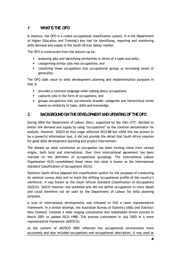## 1 WHAT IS THE OFO

In essence, the OFO is a coded occupational classification system. It is the Department of Higher Education and Training's key tool for identifying, reporting and monitoring skills demand and supply in the South African labour market.

The OFO is constructed from the bottom-up by:

- analysing jobs and identifying similarities in terms of a tasks and skills;
- categorising similar jobs into occupations; and
- classifying these occupations into occupational groups at increasing levels of generality.

The OFO adds value to skills development planning and implementation purposes in that it:

- provides a common language when talking about occupations;
- captures jobs in the form of occupations; and
- groups occupations into successively broader categories and hierarchical levels based on similarity of tasks, skills and knowledge.

## 2 BACKGROUND ON THE DEVELOPMENT AND UPDATING OF THE OFO

During 2004 the Department of Labour (DoL), supported by the then GTZ, decided to better link demand and supply by using "occupations" as the common denominator for analysis. However, SASCO at that stage reflected ISCO-88 but while this has proven to be a powerful information tool, it did not provide the detail that South Africa requires for good skills development planning and project intervention.

The debate on what constitutes an occupation has been inviting views from various origins, both local and international. Over time international agreement has been reached on the definition of occupational groupings. The International Labour Organisation (ILO) consolidated these views into what is known as the International Standard Classification of Occupations (ISCO).

Statistics South Africa adapted this classification system for the purposes of conducting its national census data and to track the shifting occupational profile of the country's workforce. It was known as the South African Standard Classification of Occupations (SASCO). SASCO however was outdated and did not define occupations in more detail and could therefore not be used by the Department of Labour for skills planning purposes.

A scan of international developments was initiated to find a more representative framework. In a similar attempt, the Australian Bureau of Statistics (ABS) and Statistics New Zealand, initiated a wide ranging consultative and stakeholder-driven process in March 2001 to update ISCO 1988. This process culminated in July 2005 in a more representative framework (ANZSCO).

As the content of ANZSCO 2005 reflected the occupational environment more accurately and also included occupations and occupational descriptors, it was used as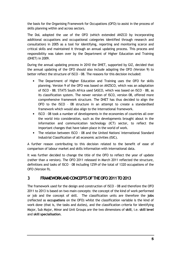the basis for the Organising Framework for Occupations (OFO) to assist in the process of skills planning within and across sectors.

The DoL adopted the use of the OFO (which extended ANZCO by incorporating additional occupations and occupational categories identified through research and consultation) in 2005 as a tool for identifying, reporting and monitoring scarce and critical skills and maintained it through an annual updating process. This process and responsibility was taken over by the Department of Higher Education and Training (DHET) in 2009.

During the annual updating process in 2010 the DHET, supported by GIZ, decided that the annual updating of the OFO should also include adapting the OFO (Version 9) to better reflect the structure of ISCO - 08. The reasons for this decision included:

- The Department of Higher Education and Training uses the OFO for skills planning. Version 9 of the OFO was based on ANZSCO, which was an adaptation of ISCO - 88. STATS South Africa used SASCO, which was based on ISCO – 88, as its classification system. The newer version of ISCO, version 08, offered more comprehensive framework structure. The DHET has thus decided to align the OFO to the ISCO – 08 structure in an attempt to create a standardised framework which would also align to the international framework.
- ISCO 08 took a number of developments in the economies of countries all over the world into consideration, such as the developments brought about in the information and communication technology (ICT) sector, to reflect the important changes that have taken place in the world of work.
- The relation between ISCO 08 and the United Nations' International Standard Industrial Classification of all economic activities (ISIC).

A further reason contributing to this decision related to the benefit of ease of comparison of labour market and skills information with international data.

It was further decided to change the title of the OFO to reflect the year of update (rather than a version). The OFO 2011 released in March 2011 reflected the structure, definitions and tasks of ISCO – 08 including 1259 of the total of 1320 occupations of the OFO (Version 9).

## 3 FRAMEWORKANDCONCEPTSOFTHEOFO2011TO2013

The framework used for the design and construction of ISCO - 08 and therefore the OFO 2011 to 2013 is based on two main concepts: the concept of the kind of work performed or job and the concept of skill. The classification units are therefore the jobs (reflected as occupations on the OFO) whilst the classification variable is the kind of work done (that is, the tasks and duties), and the classification criteria for identifying Major, Sub Major, Minor and Unit Groups are the two dimensions of skill, i.e. skill level and skill specialisation.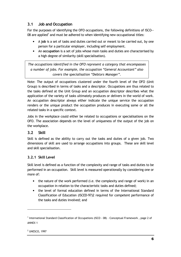## 3.1 Job and Occupation

For the purposes of identifying the OFO occupations, the following definitions of ISCO-- 08 are applied<sup>1</sup> and must be adhered to when identifying new occupational titles:

- A job is a set of tasks and duties carried out or meant to be carried out, by one person for a particular employer, including self employment.
- An occupation is a set of jobs whose main tasks and duties are characterised by a high degree of similarity (skill specialisation).

The occupations identified in the OFO represent a category that encompasses a number of jobs. For example, the occupation "General Accountant" also covers the specialisation "Debtors Manager".

Note: The output of occupations clustered under the fourth level of the OFO (Unit Group) is described in terms of tasks and a descriptor. Occupations are thus related to the tasks defined at the Unit Group and an occupation descriptor describes what the application of the variety of tasks ultimately produces or delivers in the world of work. An occupation descriptor always either indicate the unique service the occupation renders or the unique product the occupation produces in executing some or all the related tasks in a specific context.

Jobs in the workplace could either be related to occupations or specialisations on the OFO. The association depends on the level of uniqueness of the output of the job on the workplace.

## 3.2 Skill

Skill is defined as the ability to carry out the tasks and duties of a given job. Two dimensions of skill are used to arrange occupations into groups. These are skill level and skill specialisation.

## 3.2.1 Skill Level

Skill level is defined as a function of the complexity and range of tasks and duties to be performed in an occupation. Skill level is measured operationally by considering one or more of:

- the nature of the work performed (i.e. the complexity and range of work) in an occupation in relation to the characteristic tasks and duties defined;
- the level of formal education defined in terms of the International Standard Classification of Education (ISCED-97)2 required for competent performance of the tasks and duties involved; and

 $\overline{a}$ 

<sup>&</sup>lt;sup>1</sup> International Standard Classification of Occupations (ISCO - 08) - Conceptual Framework, page 2 of ANNEX 1

<sup>2</sup> UNESCO, 1997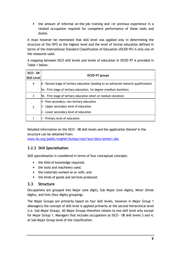• the amount of informal on-the-job training and /or previous experience in a related occupation required for competent performance of these tasks and duties.

It must however be mentioned that skill level was applied only in determining the structure of the OFO at the highest level and the level of formal education defined in terms of the International Standard Classification of Education (ISCED-97) is only one of the measures used.

A mapping between ISCO skill levels and levels of education in ISCED 97 is provided in Table 1 below.

| <b>ISCO - 08</b><br> Skill Level | <b>ISCED-97</b> groups                                                                 |
|----------------------------------|----------------------------------------------------------------------------------------|
| 4                                | 6 - Second stage of tertiary education (leading to an advanced research qualification) |
|                                  | 5a - First stage of tertiary education, 1st degree (medium duration)                   |
| 3                                | 5b - First stage of tertiary education (short or medium duration)                      |
|                                  | 4 - Post-secondary, non-tertiary education                                             |
| 2                                | - Upper secondary level of education                                                   |
|                                  | 2 - Lower secondary level of education                                                 |
|                                  | - Primary level of education                                                           |

Detailed information on the ISCO - 08 skill levels and the application thereof in the structure can be obtained from:

www.ilo.org/public/english/bureau/stat/isco/docs/annex1.doc

## 3.2.2 Skill Specialisation

Skill specialisation is considered in terms of four conceptual concepts:

- the field of knowledge required:
- the tools and machinery used;
- the materials worked on or with; and
- the kinds of goods and services produced.

## 3.3 Structure

Occupations are grouped into Major (one digit), Sub Major (two digits), Minor (three digits), and Unit (four digits) groupings.

The Major Groups are primarily based on four skill levels, however in Major Group 1 (Managers) the concept of skill level is applied primarily at the second hierarchical level (i.e. Sub Major Group). All Major Groups therefore relates to one skill level only except for Major Group 1, Managers that includes occupations at ISCO - 08 skill levels 3 and 4, at Sub Major Group level of the classification.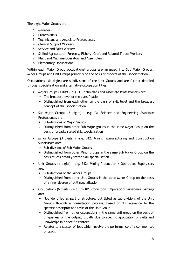The eight Major Groups are:

- 1 Managers
- 2 Professionals
- 3 Technicians and Associate Professionals
- 4 Clerical Support Workers
- 5 Service and Sales Workers
- 6 Skilled Agricultural, Forestry, Fishery, Craft and Related Trades Workers
- 7 Plant and Machine Operators and Assemblers
- 8 Elementary Occupations

Within each Major Group occupational groups are arranged into Sub Major Groups, Minor Groups and Unit Groups primarily on the basis of aspects of skill specialisation.

Occupations (six digits) are subdivisions of the Unit Groups and are further detailed through specialisation and alternative occupation titles.

- Major Groups (1 digit) (e.g. 3. Technicians and Associate Professionals) are:
	- $\triangleright$  The broadest level of the classification
	- > Distinguished from each other on the basis of skill level and the broadest concept of skill specialisation
- Sub-Major Groups (2 digits) e.g. 31 Science and Engineering Associate Professionals are:
	- $\triangleright$  Sub-divisions of Major Groups
	- $\triangleright$  Distinguished from other Sub Major groups in the same Major Group on the basis of broadly stated skill specialisation
- Minor Groups (3 digits) e.g. 312. Mining, Manufacturing and Construction Supervisors are:
	- $\triangleright$  Sub-divisions of Sub Major Groups
	- $\triangleright$  Distinguished from other Minor groups in the same Sub Major Group on the basis of less broadly stated skill specialisation
- Unit Groups (4 digits) e.g. 3121 Mining Production / Operations Supervisors are:
	- $\triangleright$  Sub-divisions of the Minor Groups
	- $\triangleright$  Distinguished from other Unit Groups in the same Minor Group on the basis of a finer degree of skill specialisation
- Occupations (6 digits) e.g. 312101 Production / Operations Supervisor (Mining) are:
	- $\triangleright$  Not identified as part of structure, but listed as sub-divisions of the Unit Groups through a consultation process, based on its relevance to the specific descriptor and tasks of the Unit Group
	- $\triangleright$  Distinguished from other occupations in the same unit group on the basis of uniqueness of the output, usually due to specific application of skills and knowledge in a specific context.
	- $\triangleright$  Relates to a cluster of jobs which involve the performance of a common set of tasks.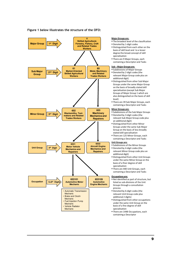

#### Figure 1 below illustrates the structure of the OFO:

#### Major Groups are:

**The broadest level of the classification** 

- · Denoted by 1-digit codes
- Distinguished from each other on the basis of skill level and to a lesser degree the broad concept of skill specialisation
- There are 9 Major Groups, each containing a Descriptor and Tasks

#### Sub – Major Groups are:

- **Subdivisions of Major Groups**
- Denoted by 2-digit codes (the relevant Major Group code plus an additional digit)
- Distinguished from other Sub Major Groups under the same Major Group on the basis of broadly stated skill specialisation (except Sub Major Groups of Major Group 1 which are also distinguished on the basis of skill level)
- There are 39 Sub Major Groups, each containing a Descriptor and Tasks

#### Minor Groups are:

- **Subdivisions of the Sub Major Groups** - Denoted by 3-digit codes (the
- relevant Sub Major Group code plus an additional digit)
- Distinguished from other Minor Groups under the same Sub Major Group on the basis of less broadly stated skill specialisation
- There are 125 Minor Groups, each containing a Descriptor and Tasks

#### Unit Groups are:

- **Subdivisions of the Minor Groups**
- Denoted by 4-digit codes (the relevant Minor Group code plus an additional digit)
- **Distinguished from other Unit Groups** under the same Minor Group on the basis of a finer degree of skill specialisation
- There are 440 Unit Groups, each containing a Descriptor and Tasks

#### Occupations are:

- Not identified as part of structure, but listed as sub-divisions of the Unit Groups through a consultation process
- Denoted by 6-digit codes (the relevant Unit Group code plus additional 2 digits)
- Distinguished from other occupations under the same Unit Group on the basis of a fine degree of skill specialisation
- There are 1448 Occupations, each containing a Descriptor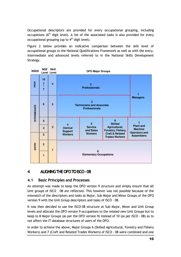Occupational descriptors are provided for every occupational grouping, including occupations  $(6<sup>th</sup>$  digit level). A list of the associated tasks is also provided for every occupational grouping (up to  $4<sup>th</sup>$  digit level).

Figure 2 below provides an indicative comparison between the skill level of occupational groups to the National Qualifications Framework as well as with the entry, intermediate and advanced levels referred to in the National Skills Development Strategy.

| <b>NSDS</b>         | <b>NQF</b>                | <b>Skill</b><br><b>Level Level</b> |                                   | <b>OFO Major Groups</b>                                               |                                     |                                                            |  |  |  |  |
|---------------------|---------------------------|------------------------------------|-----------------------------------|-----------------------------------------------------------------------|-------------------------------------|------------------------------------------------------------|--|--|--|--|
| <b>H</b> GH         | 10<br>↑<br>$\overline{7}$ | 4                                  |                                   |                                                                       |                                     |                                                            |  |  |  |  |
| <b>INTERMEDIATE</b> | $6\phantom{1}6$           | 3                                  |                                   | 3<br><b>Technicians and Associate</b><br><b>Professionals</b>         |                                     |                                                            |  |  |  |  |
|                     | 5                         |                                    | $\overline{4}$                    | 5                                                                     | 6<br><b>Skilled</b>                 | $\overline{7}$                                             |  |  |  |  |
|                     | $\overline{\mathbf{4}}$   | $\overline{2}$                     | <b>Clerical</b><br><b>Support</b> | <b>Service</b><br>and Sales                                           | Agricultural,<br>Forestry, Fishery, | <b>Plant and</b><br><b>Machine</b><br><b>Operators and</b> |  |  |  |  |
|                     | 3                         |                                    | <b>Workers</b>                    | <b>Craft &amp; Related</b><br><b>Workers</b><br><b>Trades Workers</b> |                                     |                                                            |  |  |  |  |
| ENTRY               | $\overline{2}$            | 1                                  |                                   | 8                                                                     |                                     |                                                            |  |  |  |  |
|                     |                           |                                    |                                   |                                                                       |                                     |                                                            |  |  |  |  |

## 4 ALIGNINGTHEOFOTOISCO–08

## 4.1 Basic Principles and Processes

An attempt was made to keep the OFO version 9 structure and simply ensure that all Unit groups of ISCO – 08 are reflected. This however was not possible because of the mismatch of the descriptors and tasks at Major, Sub Major and Minor Groups of the OFO version 9 with the Unit Group descriptors and tasks of ISCO – 08.

It was then decided to use the ISCO–08 structure at Sub Major, Minor and Unit Group levels and allocate the OFO version 9 occupations to the related new Unit Groups but to keep to 8 Major Groups (as per the OFO version 9) instead of 10 (as per ISCO - 08) as to not affect the IT database structures of users of the OFO.

In order to achieve the above, Major Groups 6 (Skilled Agricultural, Forestry and Fishery Workers) and 7 (Craft and Related Trades Workers) of ISCO - 08 were combined and one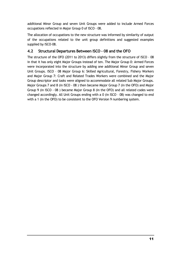additional Minor Group and seven Unit Groups were added to include Armed Forces occupations reflected in Major Group 0 of ISCO - 08.

The allocation of occupations to the new structure was informed by similarity of output of the occupations related to the unit group definitions and suggested examples supplied by ISCO–08.

## 4.2 Structural Departures Between ISCO - 08 and the OFO

The structure of the OFO (2011 to 2013) differs slightly from the structure of ISCO – 08 in that it has only eight Major Groups instead of ten. The Major Group 0: Armed Forces were incorporated into the structure by adding one additional Minor Group and seven Unit Groups. ISCO – 08 Major Group 6: Skilled Agricultural, Forestry, Fishery Workers and Major Group 7: Craft and Related Trades Workers were combined and the Major Group descriptor and tasks were aligned to accommodate all related Sub Major Groups. Major Groups 7 and 8 (in ISCO - 08 ) then became Major Group 7 (in the OFO) and Major Group 9 (in ISCO - 08 ) became Major Group 8 (in the OFO) and all related codes were changed accordingly. All Unit Groups ending with a 0 (in ISCO – 08) was changed to end with a 1 (in the OFO) to be consistent to the OFO Version 9 numbering system.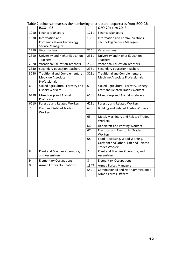|                | <b>ISCO - 08</b>                                                                   |                | OFO 2011 to 2013                                                                               |
|----------------|------------------------------------------------------------------------------------|----------------|------------------------------------------------------------------------------------------------|
| 1210           | <b>Finance Managers</b>                                                            | 1211           | <b>Finance Managers</b>                                                                        |
| 1330           | Information and<br><b>Communications Technology</b><br><b>Service Managers</b>     | 1331           | <b>Information and Communications</b><br><b>Technology Service Managers</b>                    |
| 2250           | Veterinarians                                                                      | 2251           | Veterinarians                                                                                  |
| 2310           | University and Higher Education<br><b>Teachers</b>                                 | 2311           | University and Higher Education<br><b>Teachers</b>                                             |
| 2320           | <b>Vocational Education Teachers</b>                                               | 2321           | <b>Vocational Education Teachers</b>                                                           |
| 2330           | Secondary education teachers                                                       | 2331           | Secondary education teachers                                                                   |
| 3230           | <b>Traditional and Complementary</b><br><b>Medicine Associate</b><br>Professionals | 3231           | <b>Traditional and Complementary</b><br><b>Medicine Associate Professionals</b>                |
| 6              | Skilled Agricultural, Forestry and<br><b>Fishery Workers</b>                       | 6              | Skilled Agricultural, Forestry, Fishery,<br><b>Craft and Related Trades Workers</b>            |
| 6130           | Mixed Crop and Animal<br>Producers                                                 | 6131           | Mixed Crop and Animal Producers                                                                |
| 6210           | Forestry and Related Workers                                                       | 6211           | <b>Forestry and Related Workers</b>                                                            |
| $\overline{7}$ | <b>Craft and Related Trades</b><br>Workers                                         | 64             | <b>Building and Related Trades Workers</b>                                                     |
|                |                                                                                    | 65             | Metal, Machinery and Related Trades<br>Workers                                                 |
|                |                                                                                    | 66             | Handicraft and Printing Workers                                                                |
|                |                                                                                    | 67             | <b>Electrical and Electronics Trades</b><br>Workers                                            |
|                |                                                                                    | 68             | Food Processing, Wood Working,<br>Garment and Other Craft and Related<br><b>Trades Workers</b> |
| 8              | Plant and Machine Operators,<br>and Assemblers                                     | $\overline{7}$ | Plant and Machine Operators, and<br>Assemblers                                                 |
| 9              | <b>Elementary Occupations</b>                                                      | 8              | <b>Elementary Occupations</b>                                                                  |
| $\mathbf 0$    | <b>Armed Forces Occupations</b>                                                    | 1347           | <b>Armed Forces Managers</b>                                                                   |
|                |                                                                                    | 542            | <b>Commissioned and Non-Commissioned</b><br><b>Armed Forces Officers</b>                       |

Table 2 below summarises the numbering or structural departures from ISCO 08: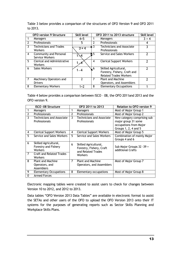|                | <b>OFO version 9 Structure</b>                       | <b>Skill level</b> |               | OFO 2011 to 2013 structure                                                             | <b>Skill level</b> |
|----------------|------------------------------------------------------|--------------------|---------------|----------------------------------------------------------------------------------------|--------------------|
|                | Managers                                             | $4 + 5$            |               | Managers                                                                               | $3 + 4$            |
| $\overline{2}$ | Professionals                                        | 5                  | $\mathcal{P}$ | Professionals                                                                          | 4                  |
| 3              | <b>Technicians and Trades</b><br><b>Workers</b>      | $3 + 4$            | ٦             | <b>Technicians and Associate</b><br>Professionals                                      |                    |
| 4              | Community and Personal<br>Service Workers            | $\sim$ 4           | $\sim$ 5      | Service and Sales Workers                                                              | 7                  |
| 5.             | <b>Clerical and Administrative</b><br><b>Workers</b> |                    | 4             | <b>Clerical Support Workers</b>                                                        |                    |
| 6              | <b>Sales Workers</b>                                 | $1 - 4$            | $\sqrt{6}$    | Skilled Agricultural,<br>Forestry, Fishery, Craft and<br><b>Related Trades Workers</b> |                    |
| $\overline{7}$ | Machinery Operators and<br><b>Drivers</b>            |                    | 7             | Plant and Machine<br>Operators, and Assemblers                                         |                    |
| 8              | <b>Elementary Workers</b>                            | $1+2$              | 8             | <b>Elementary Occupations</b>                                                          |                    |

Table 3 below provides a comparison of the structures of OFO Version 9 and OFO 2011 to 2013.

Table 4 below provides a comparison between ISCO – 08, the OFO 2011and 2013 and the OFO version 9.

|                | <b>ISCO -08 Structure</b>                                | OFO 2011 to 2013 |                                                                         | <b>Relation to OFO version 9</b>                                                                     |  |
|----------------|----------------------------------------------------------|------------------|-------------------------------------------------------------------------|------------------------------------------------------------------------------------------------------|--|
|                | Managers                                                 | 1                | Managers                                                                | Most of Major Group 1                                                                                |  |
| $\overline{2}$ | Professionals                                            | 2                | Professionals                                                           | Most of Major Group 2                                                                                |  |
| 3              | <b>Technicians and Associate</b><br>Professionals        | 3                | <b>Technicians and Associate</b><br>Professionals                       | New category comprising sub<br>major group 31 some<br>occupations from Major<br>Groups 1, 2, 4 and 5 |  |
| 4              | <b>Clerical Support Workers</b>                          | 4                | <b>Clerical Support Workers</b>                                         | Most of Major Group 5                                                                                |  |
| 5              | Service and Sales Workers                                | 5.               | Service and Sales Workers                                               | <b>Combination of mainly Major</b><br>Groups 4 and 6                                                 |  |
| 6              | Skilled Agricultural,<br>Forestry and Fishery<br>Workers | 6                | Skilled Agricultural,<br>Forestry, Fishery, Craft<br>and Related Trades | Sub Major Groups 32 - 39 +<br>additional Crafts                                                      |  |
| $\overline{7}$ | <b>Craft and Related Trades</b><br>Workers               |                  | Workers                                                                 |                                                                                                      |  |
| 8              | <b>Plant and Machine</b><br>Operators, and<br>Assemblers | $\overline{7}$   | <b>Plant and Machine</b><br>Operators, and Assemblers                   | Most of Major Group 7                                                                                |  |
| 9              | <b>Elementary Occupations</b>                            | 8                | Elementary occupations                                                  | Most of Major Group 8                                                                                |  |
| $\Omega$       | <b>Armed Forces</b>                                      |                  |                                                                         |                                                                                                      |  |

Electronic mapping tables were created to assist users to check for changes between Version 10 to 2012, and 2012 to 2013.

Data tables "OFO Version 2013 Data Tables" are available in electronic format to assist the SETAs and other users of the OFO to upload the OFO Version 2013 onto their IT systems for the purposes of generating reports such as Sector Skills Planning and Workplace Skills Plans.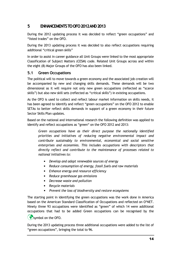## 5 ENHANCEMENTS TO OFO 2012 AND 2013

During the 2012 updating process it was decided to reflect "green occupations" and "listed trades" on the OFO.

During the 2013 updating process it was decided to also reflect occupations requiring additional "critical green skills"

In order to assist in career guidance all Unit Groups were linked to the most appropriate Classification of Subject Matters (CESM) code. Related Unit Groups across and within the eight (8) Major Groups of the OFO has also been linked.

## 5.1 Green Occupations

The political will to move towards a green economy and the associated job creation will be accompanied by new and changing skills demands. These demands will be two dimensional as it will require not only new green occupations (reflected as "scarce skills") but also new skill sets (reflected as "critical skills") in existing occupations.

As the OFO is used to collect and reflect labour market information on skills needs, it has been agreed to identify and reflect "green occupations" on the OFO 2012 to enable SETAs to better reflect skills demands in support of a green economy in their future Sector Skills Plan updates.

Based on the national and international research the following definition was applied to identify and reflect occupations as "green" on the OFO 2012 and 2013:

Green occupations have as their direct purpose the nationally identified priorities and initiatives of reducing negative environmental impact and contribute sustainably to environmental, economical and social sensitive enterprises and economies. This includes occupations with descriptors that directly reflect and contribute to the maintenance of processes related to national initiatives to:

- Develop and adopt renewable sources of energy
- Reduce consumption of energy, fossil fuels and raw materials
- Enhance energy and resource efficiency
- Reduce greenhouse gas emissions
- Decrease waste and pollution
- Recycle materials
- Prevent the loss of biodiversity and restore ecosystems

The starting point in identifying the green occupations was the work done in America based on the American Standard Classification of Occupations and reflected on O\*NET. Ninety three 93 occupations were identified as "green" of which 14 were additional occupations that had to be added Green occupations can be recognised by the  $\left($   $\bullet$  symbol on the OFO.

During the 2013 updating process three additional occupations were added to the list of "green occupations", bringing the total to 96.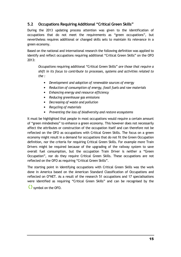## 5.2 Occupations Requiring Additional "Critical Green Skills"

During the 2013 updating process attention was given to the identification of occupations that do not meet the requirements as "green occupations", but nevertheless requires additional or changed skills sets to maintain its relevance in a green economy.

Based on the national and international research the following definition was applied to identify and reflect occupations requiring additional "Critical Green Skills" on the OFO 2013:

Occupations requiring additional "Critical Green Skills" are those that require a shift in its focus to contribute to processes, systems and activities related to the :

- Development and adoption of renewable sources of energy
- Reduction of consumption of energy, fossil fuels and raw materials
- Enhancing energy and resource efficiency
- Reducing greenhouse gas emissions
- Decreasing of waste and pollution
- Recycling of materials
- Preventing the loss of biodiversity and restore ecosystems

It must be highlighted that people in most occupations would require a certain amount of "green mindedness" to enhance a green economy. This however does not necessarily affect the attributes or construction of the occupation itself and can therefore not be reflected on the OFO as occupations with Critical Green Skills. The focus on a green economy might result in a demand for occupations that do not fit the Green Occupation definition, nor the criteria for requiring Critical Green Skills. For example more Train Drivers might be required because of the upgrading of the railway system to save overall fuel consumption, but the occupation Train Driver is neither a "Green Occupation", nor do they require Critical Green Skills. These occupations are not reflected on the OFO as requiring "Critical Green Skills".

The starting point in identifying occupations with Critical Green Skills was the work done in America based on the American Standard Classification of Occupations and reflected on O\*NET. As a result of the research 51 occupations and 17 specialisations were identified as requiring "Critical Green Skills" and can be recognised by the

-symbol on the OFO.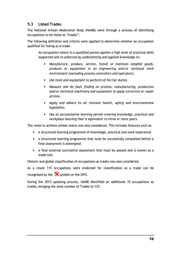## 5.3 Listed Trades

The National Artisan Moderation Body (NAMB) went through a process of identifying occupations to be listed as "trades".

The following definition and criteria were applied to determine whether an occupation qualified for listing as a trade:

An occupation where in a qualified person applies a high level of practical skills supported and re-enforced by underpinning and applied knowledge to:

- Manufacture, produce, service, install or maintain tangible goods, products or equipment in an engineering and/or technical work environment (excluding process controllers and operators).
- Use tools and equipment to perform of his/her duties.
- Measure and do fault finding on process, manufacturing, production and/or technical machinery and equipment to apply corrective or repair actions.
- Apply and adhere to all relevant health, safety and environmental legislation.
- Has an accumulative learning period covering knowledge, practical and workplace learning that is equivalent to three or more years.

The route to achieve artisan status was also considered. This includes features such as:

- a structured learning programme of knowledge, practical and work experience
- a structured learning programme that must be successfully completed before a final assessment is attempted
- a final external summative assessment that must be passed and is known as a trade test.

Historic and global classification of occupations as trades was also considered.

As a result 115 occupations were endorsed for classification as a trade can be recognised by the  $\mathbf{\hat{x}}$  symbol on the OFO.

During the 2013 updating process, NAMB identified an additional 10 occupations as trades, bringing the total number of Trades to 125.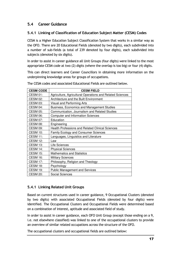## 5.4 Career Guidance

## 5.4.1 Linking of Classification of Education Subject Matter (CESM) Codes

CESM is a Higher Education Subject Classification System that works in a similar way as the OFO. There are 20 Educational Fields (denoted by two digits), each subdivided into a number of sub-fields (a total of 239 denoted by four digits), each subdivided into subjects (denoted by six digits).

In order to assist in career guidance all Unit Groups (four digits) were linked to the most appropriate CESM code at two (2) digits (where the overlap is too big) or four (4) digits.

This can direct learners and Career Councillors in obtaining more information on the underpinning knowledge areas for groups of occupations.

| <b>CESM CODE</b> | <b>CESM FIELD</b>                                         |
|------------------|-----------------------------------------------------------|
| <b>CESM 01:</b>  | Agriculture, Agricultural Operations and Related Sciences |
| <b>CESM 02:</b>  | Architecture and the Built Environment                    |
| <b>CESM 03:</b>  | Visual and Performing Arts                                |
| <b>CESM 04:</b>  | Business, Economics and Management Studies                |
| <b>CESM 05:</b>  | Communication, Journalism and Related Studies             |
| <b>CESM 06:</b>  | <b>Computer and Information Sciences</b>                  |
| <b>CESM 07:</b>  | Education                                                 |
| <b>CESM 08:</b>  | Engineering                                               |
| <b>CESM 09:</b>  | <b>Health Professions and Related Clinical Sciences</b>   |
| <b>CESM 10:</b>  | <b>Family Ecology and Consumer Sciences</b>               |
| <b>CESM 11:</b>  | Languages, Linguistics and Literature                     |
| <b>CESM 12:</b>  | Law                                                       |
| <b>CESM 13:</b>  | Life Sciences                                             |
| <b>CESM 14:</b>  | <b>Physical Sciences</b>                                  |
| <b>CESM 15:</b>  | <b>Mathematics and Statistics</b>                         |
| <b>CESM 16:</b>  | <b>Military Sciences</b>                                  |
| <b>CESM 17:</b>  | Philosophy, Religion and Theology                         |
| <b>CESM 18:</b>  | Psychology                                                |
| <b>CESM 19:</b>  | <b>Public Management and Services</b>                     |
| <b>CESM 20:</b>  | Social Sciences                                           |

The CESM codes and associated Educational Fields are outlined below.

## 5.4.1 Linking Related Unit Groups

Based on current structures used in career guidance, 9 Occupational Clusters (denoted by two digits) with associated Occupational Fields (denoted by four digits) were identified. The Occupational Clusters and Occupational Fields were determined based on a combination of interest, aptitude and associated field of study.

In order to assist in career guidance, each OFO Unit Group (except those ending on a 9, i.e. not elsewhere classified) was linked to one of the occupational clusters to provide an overview of similar related occupations across the structure of the OFO.

The occupational clusters and occupational fields are outlined below: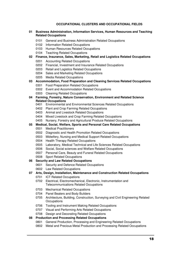#### **OCCUPATIONAL CLUSTERS AND OCCUPATIONAL FIELDS**

#### **Business Administration, Information Services, Human Resources and Teaching Related Occupations**

- General and Business Administration Related Occupations
- Information Related Occupations
- Human Resources Related Occupations
- Teaching Related Occupations

#### **Finance, Insurance, Sales, Marketing, Retail and Logistics Related Occupations**

- Accounting Related Occupations
- Financial, Investment and Insurance Related Occupations
- Retail and Logistics Related Occupations
- Sales and Marketing Related Occupations
- Media Related Occupations
- **Accommodation, Food Preparation and Cleaning Services Related Occupations**
	- Food Preparation Related Occupations
	- Event and Accommodation Related Occupations
	- Cleaning Related Occupations
- **Farming, Forestry, Nature Conservation, Environment and Related Science Related Occupations** 
	- Environmental and Environmental Sciences Related Occupations
	- Plant and Crop Farming Related Occupations
	- Animal and Livestock Related Occupations
	- Mixed Livestock and Crop Farming Related Occupations
	- Nursery, Forestry and Agricultural Produce Related Occupations

#### **Medical, Social, Welfare, Sports and Personal Care Related Occupations**

- Medical Practitioners
- Diagnostic and Health Promotion Related Occupations
- Midwifery, Nursing and Medical Support Related Occupations
- Health Therapy Related Occupations
- Laboratory, Medical Technical and Life Sciences Related Occupations
- Social, Social sciences and Welfare Related Occupations
- Personal Care, Beauty and Funeral Related Occupations
- Sport Related Occupations

#### **Security and Law Related Occupations**

- Security and Defence Related Occupations
- Law Related Occupations

#### **Arts, Design, Installation, Maintenance and Construction Related Occupations**

- ICT Related Occupations
- Electrical, Electromechanical, Electronic, Instrumentation and Telecommunications Related Occupations
- Mechanical Related Occupations
- Panel Beaters and Body Builders
- Architecture, Building, Construction, Surveying and Civil Engineering Related **Occupations**
- Tooling and Instrument Making Related Occupations
- Visual and Performing Arts Related Occupations

#### Design and Decorating Related Occupations

#### **Production and Processing Related Occupations**

- General Production, Processing and Engineering Related Occupations
- Metal and Precious Metal Production and Processing Related Occupations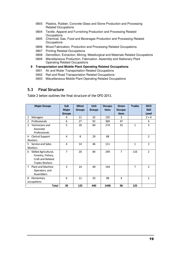- 0803 Plastics, Rubber, Concrete Glass and Stone Production and Processing Related Occupations
- 0804 Textile, Apparel and Furnishing Production and Processing Related **Occupations**
- 0805 Chemical, Gas, Food and Beverages Production and Processing Related **Occupations**
- 0806 Wood Fabrication, Production and Processing Related Occupations
- 0807 Printing Related Occupations
- 0808 Demolition, Extraction, Mining, Metallurgical and Materials Related Occupations
- 0809 Miscellaneous Production, Fabrication, Assembly and Stationary Plant Operating Related Occupations

#### **9 Transportation and Mobile Plant Operating Related Occupations**

- 0901 Air and Water Transportation Related Occupations
- 0902 Rail and Road Transportation Related Occupations
- 0903 Miscellaneous Mobile Plant Operating Related Occupations

## 5.3 Final Structure

Table 2 below outlines the final structure of the OFO 2013.

| <b>Major Groups</b>                        | <b>Sub</b><br><b>Major</b><br><b>Groups</b> | <b>Minor</b><br><b>Groups</b> | <b>Unit</b><br><b>Groups</b> | Occupa-<br>tions | Green<br>Occupa-<br>tions | <b>Trades</b>  | <b>ISCO</b><br><b>Skill</b><br>Level |
|--------------------------------------------|---------------------------------------------|-------------------------------|------------------------------|------------------|---------------------------|----------------|--------------------------------------|
| 1<br>Managers                              | 4                                           | 11                            | 32                           | 135              | 3                         |                | $3 + 4$                              |
| $\overline{2}$<br>Professionals            | 6                                           | 27                            | 92                           | 369              | 47                        |                | 4                                    |
| 3<br>Technicians and                       | 5                                           | 20                            | 84                           | 274              | 35                        | $\mathbf{1}$   | 3                                    |
| Associate                                  |                                             |                               |                              |                  |                           |                |                                      |
| Professionals                              |                                             |                               |                              |                  |                           |                |                                      |
| <b>Clerical Support</b><br>4               | 4                                           | 8                             | 29                           | 68               |                           |                | $\overline{2}$                       |
| Workers                                    |                                             |                               |                              |                  |                           |                |                                      |
| 5.<br>Service and Sales                    | 4                                           | 14                            | 46                           | 111              |                           | $\mathbf{1}$   | $\overline{2}$                       |
| Workers                                    |                                             |                               |                              |                  |                           |                |                                      |
| Skilled Agricultural,<br>6                 | $\overline{7}$                              | 20                            | 84                           | 249              | $\overline{7}$            | 116            | $\overline{2}$                       |
| Forestry, Fishery,                         |                                             |                               |                              |                  |                           |                |                                      |
| Craft and Related                          |                                             |                               |                              |                  |                           |                |                                      |
| <b>Trades Workers</b>                      |                                             |                               |                              |                  |                           |                |                                      |
| $\overline{7}$<br><b>Plant and Machine</b> | 3                                           | 14                            | 40                           | 144              |                           | $\overline{7}$ | $\overline{2}$                       |
| Operators, and                             |                                             |                               |                              |                  |                           |                |                                      |
| <b>Assemblers</b>                          |                                             |                               |                              |                  |                           |                |                                      |
| Elementary<br>8                            | 6                                           | 11                            | 33                           | 98               | 4                         |                | $\mathbf{1}$                         |
| occupations                                |                                             |                               |                              |                  |                           |                |                                      |
| <b>Total</b>                               | 39                                          | 125                           | 440                          | 1448             | 96                        | 125            |                                      |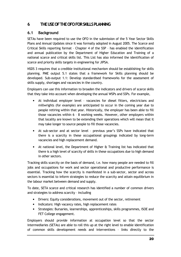## 6 THEUSEOFTHEOFOFORSKILLSPLANNING

## 6.1 Background

SETAs have been required to use the OFO in the submission of the 5 Year Sector Skills Plans and Annual Updates since it was formally adopted in August 2005. The Scarce and Critical Skills reporting format – Chapter 4 of the SSP – has enabled the identification and annual publication by the Department of Higher Education and Training of a national scarce and critical skills list. This List has also informed the identification of scarce and priority skills targets in engineering for JIPSA.

NSDS 3 requires that a credible institutional mechanism should be establishing for skills planning. PME output 5.1 states that a framework for Skills planning should be developed. Sub-output 1.1: Develop standardised frameworks for the assessment of skills supply, shortages and vacancies in the country.

Employers can use this information to broaden the indicators and drivers of scarce skills that they take into account when developing the annual WSPs and SSPs. For example,

- At individual employer level vacancies for diesel fitters, electricians and millwrights (for example) are anticipated to occur in the coming year due to people retiring within that year. Historically, the employer has been able to fill those vacancies within 6 – 8 working weeks. However, other employers within that locality are known to be extending their operations which will mean that it may take longer to source people to fill those vacancies.
- At sub-sector and at sector level previous year's SSPs have indicated that there is a scarcity in these occupational groupings indicated by long-term vacancies and high replacement demand.
- At national level, the Department of Higher & Training list has indicated that there is a high level of scarcity of skills in these occupations due to high demand in other sectors.

Tracking skills scarcity on the basis of demand, i.e. how many people are needed to fill jobs and occupations for work and sector operational and productive performance is essential. Tracking how the scarcity is manifested in a sub-sector, sector and across sectors is essential to inform strategies to reduce the scarcity and attain equilibrium in the labour market between demand and supply.

To date, SETA scarce and critical research has identified a number of common drivers and strategies to address scarcity – including

- Drivers: Equity considerations, movement out of the sector, retirement
- Indicators: High vacancy rates, high replacement rates
- Strategies: Bursaries, learnerships, apprenticeships, skills programmes, ISOE and FET College engagement.

Employers should provide information at occupation level so that the sector intermediaries (SETAs) are able to roll this up at the right level to enable identification of common skills development needs and interventions – links directly to the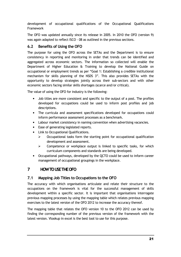development of occupational qualifications of the Occupational Qualifications Framework

The OFO was updated annually since its release in 2005. In 2010 the OFO (version 9) was again adapted to reflect ISCO - 08 as outlined in the previous sections.

## 6.2 Benefits of Using the OFO

The purpose for using the OFO across the SETAs and the Department is to ensure consistency in reporting and monitoring in order that trends can be identified and aggregated across economic sectors. The information so collected will enable the Department of Higher Education & Training to develop the National Guide on occupational or employment trends as per "Goal 1: Establishing a credible institutional mechanism for skills planning of the NSDS 3". This also provides SETAs with the opportunity to develop strategies jointly across their sub-sectors and with other economic sectors facing similar skills shortages (scarce and/or critical).

The value of using the OFO for industry is the following:

- Job titles are more consistent and specific to the output of a post. The profiles developed for occupations could be used to inform post profiles and job descriptions.
- The curricula and assessment specifications developed for occupations could inform performance assessment processes as a benchmark.
- Labour market consistency in naming convention when advertising vacancies.
- Ease of generating legislated reports.
- Link to Occupational Qualifications.
	- $\triangleright$  Occupational tasks form the starting point for occupational qualification development and assessment.
	- $\triangleright$  Competence or workplace output is linked to specific tasks, for which curriculum components and standards are being developed.
- Occupational pathways, developed by the QCTO could be used to inform career management of occupational groupings in the workplace.

## 7 HOWTOUSETHEOFO

## 7.1 Mapping Job Titles to Occupations to the OFO

The accuracy with which organisations articulate and relate their structure to the occupations on the framework is vital for the successful management of skills development within a specific sector. It is important that organisations interrogate previous mapping processes by using the mapping table which relates previous mapping exercises to the latest version of the OFO 2012 to increase the accuracy thereof.

The mapping table that relates the OFO version 10 to the OFO 2012 can be used by finding the corresponding number of the previous version of the framework with the latest version. Vlookup in excel is the best tool to use for this purpose.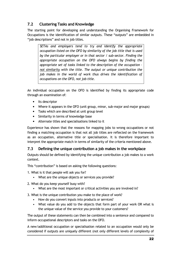## 7.2 Clustering Tasks and Knowledge

The starting point for developing and understanding the Organising Framework for Occupations is the identification of similar outputs. These "outputs" are embedded in "job descriptions" and not in job titles.

SETAs and employers tend to try and identify the appropriate occupation listed on the OFO by similarity of the job title that is used by the particular employer or in that sector / sub-sector. Finding the appropriate occupation on the OFO always begins by finding the appropriate set of tasks linked to the description of the occupation – not similarity with the title. The output or unique contribution the job makes in the world of work thus drives the identification of occupations on the OFO, not job title.

An individual occupation on the OFO is identified by finding its appropriate code through an examination of:

- Its descriptor
- Where it appears in the OFO (unit group, minor, sub-major and major groups)
- Tasks which are described at unit group level
- Similarity in terms of knowledge base
- Alternate titles and specialisations linked to it

Experience has shown that the reasons for mapping jobs to wrong occupations or not finding a matching occupation is that not all job titles are reflected on the framework as an occupation, alternative title or specialisation. It is therefore important to interpret the appropriate match in terms of similarity of the criteria mentioned above.

## 7.3 Defining the unique contribution a job makes in the workplace

Outputs should be defined by identifying the unique contribution a job makes to a work context.

This "contribution" is based on asking the following questions:

1. What is it that people will ask you for?

- What are the unique objects or services you provide?
- 2. What do you keep yourself busy with?
	- What are the most important or critical activities you are involved in?
- 3. What is the unique contribution you make to the place of work?
	- How do you convert inputs into products or services?
	- What value do you add to the objects that form part of your work OR what is the unique value of the service you provide to your customers?

The output of these statements can then be combined into a sentence and compared to inform occupational descriptors and tasks on the OFO.

A new/additional occupation or specialisation related to an occupation would only be considered if outputs are uniquely different (not only different levels of complexity of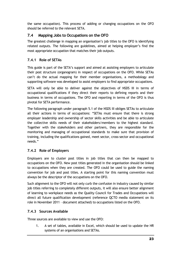the same occupation). This process of adding or changing occupations on the OFO should be referred to the relevant SETA.

## 7.4 Mapping Jobs to Occupations on the OFO

The greatest challenge in mapping an organisation's job titles to the OFO is identifying related outputs. The following are guidelines, aimed at helping employer's find the most appropriate occupation that matches their job outputs.

## 7.4.1 Role of SETAs

This guide is part of the SETA's support and aimed at assisting employers to articulate their post structure (organogram) in respect of occupations on the OFO. While SETAs can't do the actual mapping for their member organisations, a methodology and supporting software was developed to assist employers to find appropriate occupations.

SETA will only be able to deliver against the objectives of NSDS III in terms of occupational qualifications if they direct their reports to defining reports and their business in terms of occupations. The OFO and reporting in terms of the OFO is thus pivotal for SETA performance.

The following paragraph under paragraph 5.1 of the NSDS III obliges SETAs to articulate all their actions in terms of occupations: "SETAs must ensure that there is strong employer leadership and ownership of sector skills activities and be able to articulate the collective skills needs of their stakeholders/members to the highest standard. Together with the stakeholders and other partners, they are responsible for the monitoring and managing of occupational standards to make sure that provision of training, including the qualifications gained, meet sector, cross-sector and occupational needs."

## 7.4.2 Role of Employers

Employers are to cluster post titles in job titles that can then be mapped to occupations on the OFO. New post titles generated in the organisation should be linked to occupations when they are created. The OFO could be used to guide the naming convention for job and post titles. A starting point for this naming convention must always be the descriptor of the occupations on the OFO.

Such alignment to the OFO will not only curb the confusion in industry caused by similar job titles referring to completely different outputs, it will also ensure better alignment of learning to workplace needs as the Quality Council for Trades and Occupations will direct all future qualification development (reference QCTO media statement on its role in November 2011 – document attached) to occupations listed on the OFO.

## 7.4.3 Sources Available

Three sources are available to view and use the OFO:

1. A set of tables, available in Excel, which should be used to update the HR systems of an organisations and SETAs.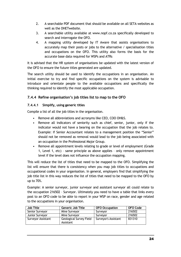- 2. A searchable PDF document that should be available on all SETA websites as well as the DHETwebsite.
- 3. A searchable utility available at www.nopf.co.za specifically developed to search and interrogate the OFO.
- 4. A mapping utility developed by IT Aware that assists organisations to accurately map their posts or jobs to the alternative / specialisation titles and occupations on the OFO. This utility also forms the basis for the accurate base data required for WSPs and ATRs

It is advised that the HR system of organisations be updated with the latest version of the OFO to ensure the future titles generated are updated.

The search utility should be used to identify the occupations in an organisation. An initial exercise to try and find specific occupations on the system is advisable to introduce and orientate people to the available occupations and specifically the thinking required to identify the most applicable occupation.

## 7.4.4 Refine organisation's job titles list to map to the OFO

### 7.4.4.1 Simplify, using generic titles

Compile a list of all the job titles in the organisation.

- Remove all abbreviations and acronyms like CEO, COO OH&S.
- Remove all indicators of seniority such as chief, senior, junior, only if the indicator would not have a bearing on the occupation that the job relates to. Example: If Senior Accountant relates to a management position the "Senior" should not be removed as removal would lead to the job being associated with an occupation in the Professional Major Group.
- Remove all appointment levels relating to grade or level of employment (Grade 1, Level 1, etc) – same principle as above applies – only remove appointment level if the level does not influence the occupation mapping.

This will reduce the list of titles that need to be mapped to the OFO. Simplifying the list will ensure that there is consistency when you map job titles to occupations and occupational codes in your organisation. In general, employers find that simplifying the job title list in this way reduces the list of titles that need to be mapped to the OFO by up to 70%.

Example: A senior surveyor, junior surveyor and assistant surveyor all could relate to the occupation 216502 – Surveyor. Ultimately you need to have a table that links every post to an OFO code to be able to report in your WSP on race, gender and age related to the occupations in your organisation.

| <b>Job Title</b>   | Generic Job Title                           | <b>OFO Occupation</b> | OFO Code |
|--------------------|---------------------------------------------|-----------------------|----------|
| Senior Surveyor    | Mine Surveyor                               | Surveyor              | 216502   |
| Junior Surveyor    | Mine Surveyor                               | Survevor              | 216502   |
| Surveyor Assistant | <b>Geological Survey Field</b><br>Assistant | Surveyor's Assistant  | 831310   |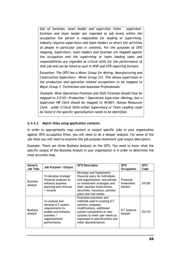Use of foreman, team leader and supervisor titles – supervisor, foreman and team leader are regarded as job levels within the occupation the person is responsible for leading or supervising. Industry requires supervisors and team leaders to direct the activities of people in particular jobs or contexts. For the purposes of OFO mapping, supervisors, team leaders and foreman are mapped against the occupation and the supervising or team leading tasks and responsibilities are regarded as critical skills for the performance of that job and can be listed as such in WSP and ATR reporting formats.

Exception: The OFO has a Minor Group for Mining, Manufacturing and Construction Supervisors – Minor Group 312. This allows supervision in the production and operation related occupations to be mapped to Major Group 3 –Technicians and Associate Professionals.

Example: Mine Operations Foreman and Shift Foreman should thus be mapped to 312101: Production / Operations Supervisor (Mining), but a Supervisor HR Clerk should be mapped to 441601: Human Resources Clerk - under Critical Skills either Supervisory or Team Leading could be listed if the specific specialisation needs to be identified.

### 6.4.4.2 Match titles using application contexts

In order to appropriately map context or output specific jobs in your organization against OFO occupation titles, you will need to do a deeper analysis. For some of the job titles you will need to examine the job purpose statement (job output descriptor).

Example: There are three Business Analysts on the OFO. You need to know what the specific output of the Business Analyst in your organisation is in order to determine the most accurate map.

| Generic<br><b>Job Title</b> | Job Purpose / Output                                                                                                         | <b>OFO Descriptor</b>                                                                                                                                                                                                             | <b>OFO</b><br><b>Occupation</b>    | <b>OFO</b><br>Code |
|-----------------------------|------------------------------------------------------------------------------------------------------------------------------|-----------------------------------------------------------------------------------------------------------------------------------------------------------------------------------------------------------------------------------|------------------------------------|--------------------|
| <b>Business</b><br>Analyst  | To develop strategic<br>financial analyses to<br>enhance business<br>planning and revenue<br>$/$ income                      | Develops and implements<br>financial plans for individuals<br>and organisations, and advises<br>on investment strategies and<br>their taxation implications,<br>securities, insurance, pension<br>plans and real estate.          | Financial<br>Investment<br>Advisor | 241301             |
| <b>Business</b><br>Analyst  | To analyse and<br>develop ICT system<br>requirements to<br>enable and enhance<br>business /<br>organizational<br>performance | Evaluates processes and<br>methods used in existing ICT<br>systems, proposes<br>modifications, additional<br>system components or new<br>systems to meet user needs as<br>expressed in specifications and<br>other documentation. | <b>ICT Systems</b><br>Analyst      | 251101             |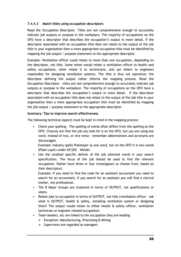## 7.4.4.3 Match titles using occupation descriptors

Read the Occupation Descriptor. Titles are not comprehensive enough to accurately indicate job outputs or purpose in the workplace. The majority of occupations on the OFO have a descriptor that describes the occupation's output in more detail. If the descriptor associated with an occupation title does not relate to the output of the job title in your organisation then a more appropriate occupation title must be identified by mapping the job output / purpose statement to the appropriate descriptor.

Example: Ventilation officer could relate to more than one occupation, depending on the descriptor, not title. Some mines would relate a ventilation officer to health and safety occupations, other relate it to technicians, and yet others to engineers responsible for designing ventilation systems. The title is thus not operative; the descriptor defining the output rather informs the mapping process. Read the Occupation Descriptor – titles are not comprehensive enough to accurately indicate job outputs or purpose in the workplace. The majority of occupations on the OFO have a descriptor that describes the occupation's output in more detail. If the descriptor associated with an occupation title does not relate to the output of the job title in your organisation then a more appropriate occupation title must be identified by mapping the job output / purpose statement to the appropriate descriptor.

#### Summary: Tips to improve search effectiveness

The following technical aspects must be kept in mind in the mapping process:

• Check your spelling – The spelling of words often differs from the spelling on the OFO. Chances are that the job you look for is on the OFO, but you are using one word, instead of two, or vice versa – remember abbreviations and acronyms are discouraged.

Example: Industry spells Platelayer as one word, but on the OFO it is two words (Plate Layer) under 651202 – Welder.

• Use the smallest specific definer of the job (shortest word) in your search specification. The focus of the job should be used to find the relevant occupation. Rather have three or four investigators to choose from, based on their descriptors.

Example: If you need to find the code for an assistant accountant you need to search for an accountant, if you search for an assistant you will find a clerical worker, not professional.

- The 8 Major Groups are clustered in terms of OUTPUT, not qualifications or salary.
- Relate jobs to occupation in terms of OUTPUT, not title (ventilation officer ask what is OUTPUT, health & safety, installing ventilation system or designing them? The output would relate to either health & safety officer, ventilation technician or engineer related occupation)
- Team leaders, etc are linked to the occupation they are leading
	- $\triangleright$  Exception: Manufacturing, Processing & Mining
	- $\triangleright$  Supervisors are regarded as managers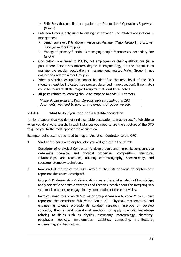- $\triangleright$  Shift Boss thus not line occupation, but Production / Operations Supervisor (Mining)
- Paterson Grading only used to distinguish between line related occupations & management
	- Senior Surveyor: D & above = Resources Manager (Major Group 1), C & lower Surveyor (Major Group 2)
	- $\triangleright$  Managers' primary function is managing people & processes, secondary line function
- Occupations are linked to POSTS, not employees or their qualifications (ie, a post where person has masters degree in engineering, but the output is to manage the section occupation is management related Major Group 1, not engineering related Major Group 2)
- When a suitable occupation cannot be identified the next level of the OFO should at least be indicated (see process described in next section). If no match could be found at all the major Group must at least be selected.
- All posts related to learning should be mapped to code 9 Learners.

Please do not print the Excel Spreadsheets containing the OFO documents; we need to save on the amount of paper we use.

## 7.4.4.4 What to do if you can't find a suitable occupation

It might happen that you do not find a suitable occupation to map a specific job title to when you do a word search. In such instances you need to use the structure of the OFO to guide you to the most appropriate occupation.

Example: Let's assume you need to map an Analytical Controller to the OFO.

1. Start with finding a descriptor, else you will get lost in the detail:

Descriptor of Analytical Controller: Analyze organic and inorganic compounds to determine chemical and physical properties, composition, structure, relationships, and reactions, utilizing chromatography, spectroscopy, and spectrophotometry techniques.

2. Now start at the top of the OFO - which of the 8 Major Group descriptors best represent the stated descriptor?

Group 2: Professionals:- Professionals increase the existing stock of knowledge, apply scientific or artistic concepts and theories, teach about the foregoing in a systematic manner, or engage in any combination of these activities.

3. Next you need to ask which Sub Major group (there are 6, code 21 to 26) best represent the descriptor Sub Major Group 21 - Physical, mathematical and engineering science professionals conduct research, improve or develop concepts, theories and operational methods, or apply scientific knowledge relating to fields such as physics, astronomy, meteorology, chemistry, geophysics, geology, mathematics, statistics, computing, architecture, engineering, and technology.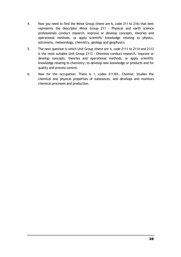- 4. Now you need to find the Minor Group (there are 6, code 211 to 216) that best represents the descriptor Minor Group 211 - Physical and earth science professionals conduct research, improve or develop concepts, theories and operational methods, or apply scientific knowledge relating to physics, astronomy, meteorology, chemistry, geology and geophysics.
- 5. The next question is which Unit Group (there are 4, code 2111 to 2114 and 2113 is the most suitable Unit Group 2113 - Chemists conduct research, improve or develop concepts, theories and operational methods, or apply scientific knowledge relating to chemistry, to develop new knowledge or products and for quality and process control.
- 6. Now for the occupation: There is 1, codes 211301, Chemist: Studies the chemical and physical properties of substances, and develops and monitors chemical processes and production.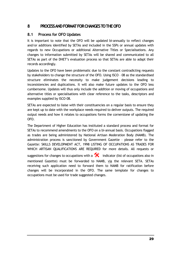## 8 PROCESS AND FORMAT FOR CHANGES TO THE OFO

## 8.1 Process for OFO Updates

It is important to note that the OFO will be updated bi-annually to reflect changes and/or additions identified by SETAs and included in the SSPs or annual updates with regards to new Occupations or additional Alternative Titles or Specialisations. Any changes to information submitted by SETAs will be shared and communicated to all SETAs as part of the DHET's evaluation process so that SETAs are able to adapt their records accordingly.

Updates to the OFO have been problematic due to the constant contradicting requests by stakeholders to change the structure of the OFO. Using ISCO – 08 as the standardised structure eliminates the necessity to make judgement decisions leading to inconsistencies and duplications. It will also make future updates to the OFO less cumbersome. Updates will thus only include the addition or moving of occupations and alternative titles or specialisations with clear reference to the tasks, descriptors and examples supplied by ISCO–08.

SETAs are expected to liaise with their constituencies on a regular basis to ensure they are kept up to date with the workplace needs required to deliver outputs. The required output needs and how it relates to occupations forms the cornerstone of updating the OFO.

The Department of Higher Education has instituted a standard process and format for SETAs to recommend amendments to the OFO on a bi-annual basis. Occupations flagged as trades are being administered by National Artisan Moderation Body (NAMB). The administration process is sanctioned by Government Gazette – please refer to the Gazette: SKILLS DEVELOPMENT ACT, 1998 LISTING OF OCCUPATIONS AS TRADES FOR WHICH ARTISAN QUALIFICATIONS ARE REQUIRED for more details. All requests or suggestions for changes to occupations with a  $\hat{\mathbf{X}}$  indicator (list of occupations also in mentioned Gazette) must be forwarded to NAMB, via the relevant SETA. SETAs receiving such application need to forward them to NAMB for ratification before changes will be incorporated in the OFO. The same template for changes to occupations must be used for trade suggested changes.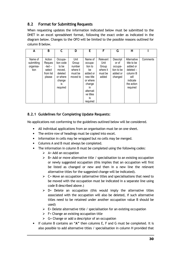## 8.2 Format for Submitting Requests

When requesting updates the information indicated below must be submitted to the DHET in an excel spreadsheet format, following the exact order as indicated in the diagram below. Changes to the OFO will be limited to the possible reasons outlined for column B below.

| A          | B         | C         | D        | E.        | F        | G          | н           |          |
|------------|-----------|-----------|----------|-----------|----------|------------|-------------|----------|
|            |           |           |          |           |          |            |             |          |
| Name of    | Action    | Occupa-   | Unit     | Name of   | Relevant | Descript   | Alternative | Comments |
| submitting | Reques    | tion code | Group    | occupa-   | Unit     | or of      | title to be |          |
| organisa-  | -ted –    | to be     | number   | tion to   | Group    | occupa-    | added or    |          |
| tion       | select    | moved,    | where it | be        | where it | tion to be | $deleted -$ |          |
|            | from list | deleted   | must be  | added or  | must be  | added or   | column B    |          |
|            | please    | or where  | moved to | new title | added    | changed    | will        |          |
|            |           | change    |          | or where  |          |            | indicate    |          |
|            |           | İS        |          | change    |          |            | the action  |          |
|            |           | required  |          | in.       |          |            | required    |          |
|            |           |           |          | alternati |          |            |             |          |
|            |           |           |          | ve titles |          |            |             |          |
|            |           |           |          | is        |          |            |             |          |
|            |           |           |          | required  |          |            |             |          |

## 8.2.1 Guidelines for Completing Update Requests:

No applications not conforming to the guidelines outlined below will be considered.

- All individual applications from an organisation must be on one sheet.
- The entire row of headings must be copied into excel.
- Information in cells may be wrapped but no cells may be merged.
- Columns A and B must always be completed.
- The information in column B must be completed using the following codes:
	- $\triangleright$  A= Add an occupation
	- $\triangleright$  B= Add or move alternative title / specialisation to an existing occupation or newly suggested occupation (this implies that an occupation will first be listed as changed or new and then in a new line the relevant alternative titles for the suggested change will be indicated).
	- $\triangleright$  C= Move an occupation (alternative titles and specialisations that need to be moved with the occupation must be indicated in a separate line using code B described above.)
	- $\triangleright$  D= Delete an occupation (this would imply the alternative titles associated with the occupation will also be deleted, if such alternative titles need to be retained under another occupation value B should be used)
	- $\triangleright$  E= Delete alternative title / specialisation for an existing occupation
	- $\triangleright$  F= Change an existing occupation title
	- $\triangleright$  G= Change or add a descriptor of an occupation
- If column B contains an "A" then columns E, F and G must be completed. It is also possible to add alternative titles / specialisation in column H provided that